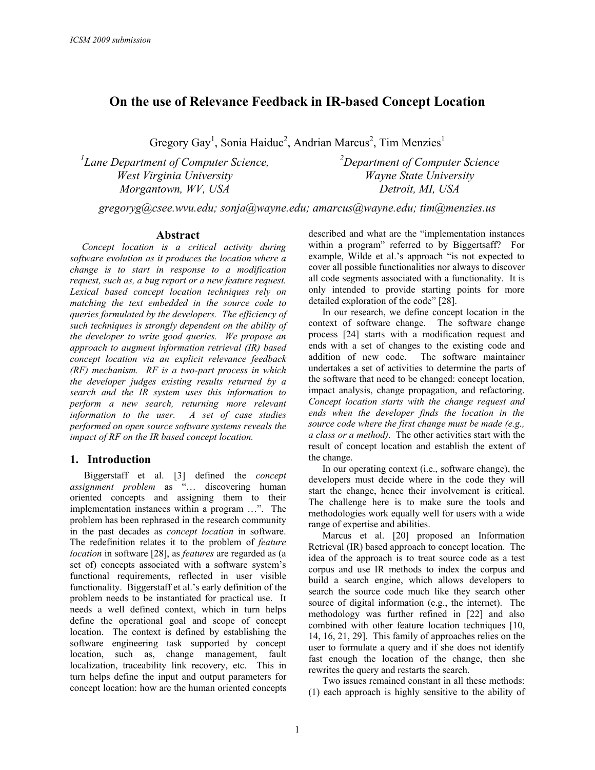# **On the use of Relevance Feedback in IR-based Concept Location**

Gregory Gay<sup>1</sup>, Sonia Haiduc<sup>2</sup>, Andrian Marcus<sup>2</sup>, Tim Menzies<sup>1</sup>

*1 Lane Department of Computer Science, West Virginia University Morgantown, WV, USA* 

*2 Department of Computer Science Wayne State University Detroit, MI, USA* 

*gregoryg@csee.wvu.edu; sonja@wayne.edu; amarcus@wayne.edu; tim@menzies.us* 

### **Abstract**

*Concept location is a critical activity during software evolution as it produces the location where a change is to start in response to a modification request, such as, a bug report or a new feature request. Lexical based concept location techniques rely on matching the text embedded in the source code to queries formulated by the developers. The efficiency of such techniques is strongly dependent on the ability of the developer to write good queries. We propose an approach to augment information retrieval (IR) based concept location via an explicit relevance feedback (RF) mechanism. RF is a two-part process in which the developer judges existing results returned by a search and the IR system uses this information to perform a new search, returning more relevant information to the user. A set of case studies performed on open source software systems reveals the impact of RF on the IR based concept location.* 

#### **1. Introduction**

Biggerstaff et al. [3] defined the *concept assignment problem* as "… discovering human oriented concepts and assigning them to their implementation instances within a program …". The problem has been rephrased in the research community in the past decades as *concept location* in software. The redefinition relates it to the problem of *feature location* in software [28], as *features* are regarded as (a set of) concepts associated with a software system's functional requirements, reflected in user visible functionality. Biggerstaff et al.'s early definition of the problem needs to be instantiated for practical use. It needs a well defined context, which in turn helps define the operational goal and scope of concept location. The context is defined by establishing the software engineering task supported by concept location, such as, change management, fault localization, traceability link recovery, etc. This in turn helps define the input and output parameters for concept location: how are the human oriented concepts

described and what are the "implementation instances within a program" referred to by Biggertsaff? For example, Wilde et al.'s approach "is not expected to cover all possible functionalities nor always to discover all code segments associated with a functionality. It is only intended to provide starting points for more detailed exploration of the code" [28].

In our research, we define concept location in the context of software change. The software change process [24] starts with a modification request and ends with a set of changes to the existing code and addition of new code. The software maintainer undertakes a set of activities to determine the parts of the software that need to be changed: concept location, impact analysis, change propagation, and refactoring. *Concept location starts with the change request and ends when the developer finds the location in the source code where the first change must be made (e.g., a class or a method)*. The other activities start with the result of concept location and establish the extent of the change.

In our operating context (i.e., software change), the developers must decide where in the code they will start the change, hence their involvement is critical. The challenge here is to make sure the tools and methodologies work equally well for users with a wide range of expertise and abilities.

Marcus et al. [20] proposed an Information Retrieval (IR) based approach to concept location. The idea of the approach is to treat source code as a test corpus and use IR methods to index the corpus and build a search engine, which allows developers to search the source code much like they search other source of digital information (e.g., the internet). The methodology was further refined in [22] and also combined with other feature location techniques [10, 14, 16, 21, 29]. This family of approaches relies on the user to formulate a query and if she does not identify fast enough the location of the change, then she rewrites the query and restarts the search.

Two issues remained constant in all these methods: (1) each approach is highly sensitive to the ability of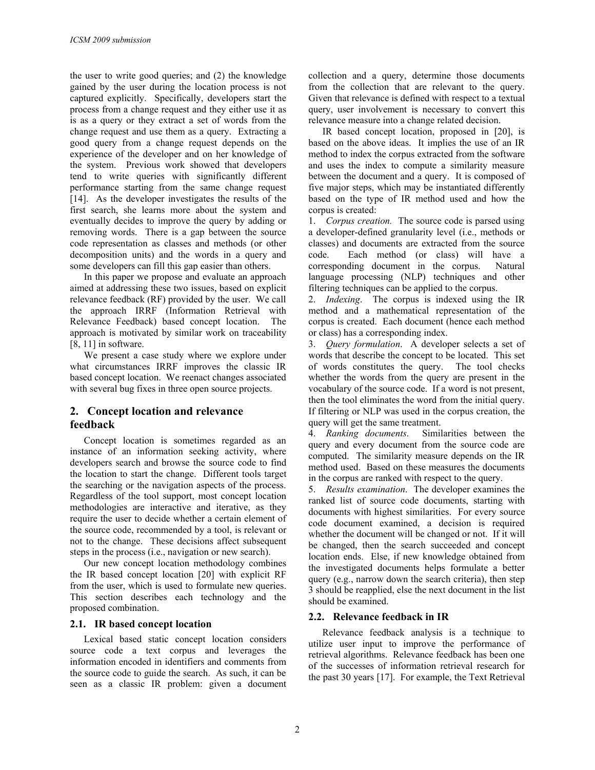the user to write good queries; and (2) the knowledge gained by the user during the location process is not captured explicitly. Specifically, developers start the process from a change request and they either use it as is as a query or they extract a set of words from the change request and use them as a query. Extracting a good query from a change request depends on the experience of the developer and on her knowledge of the system. Previous work showed that developers tend to write queries with significantly different performance starting from the same change request [14]. As the developer investigates the results of the first search, she learns more about the system and eventually decides to improve the query by adding or removing words. There is a gap between the source code representation as classes and methods (or other decomposition units) and the words in a query and some developers can fill this gap easier than others.

In this paper we propose and evaluate an approach aimed at addressing these two issues, based on explicit relevance feedback (RF) provided by the user. We call the approach IRRF (Information Retrieval with Relevance Feedback) based concept location. The approach is motivated by similar work on traceability [8, 11] in software.

We present a case study where we explore under what circumstances IRRF improves the classic IR based concept location. We reenact changes associated with several bug fixes in three open source projects.

# <span id="page-1-1"></span>**2. Concept location and relevance feedback**

Concept location is sometimes regarded as an instance of an information seeking activity, where developers search and browse the source code to find the location to start the change. Different tools target the searching or the navigation aspects of the process. Regardless of the tool support, most concept location methodologies are interactive and iterative, as they require the user to decide whether a certain element of the source code, recommended by a tool, is relevant or not to the change. These decisions affect subsequent steps in the process (i.e., navigation or new search).

Our new concept location methodology combines the IR based concept location [20] with explicit RF from the user, which is used to formulate new queries. This section describes each technology and the proposed combination.

### <span id="page-1-0"></span>**2.1. IR based concept location**

Lexical based static concept location considers source code a text corpus and leverages the information encoded in identifiers and comments from the source code to guide the search. As such, it can be seen as a classic IR problem: given a document collection and a query, determine those documents from the collection that are relevant to the query. Given that relevance is defined with respect to a textual query, user involvement is necessary to convert this relevance measure into a change related decision.

IR based concept location, proposed in [20], is based on the above ideas. It implies the use of an IR method to index the corpus extracted from the software and uses the index to compute a similarity measure between the document and a query. It is composed of five major steps, which may be instantiated differently based on the type of IR method used and how the corpus is created:

1. *Corpus creation.* The source code is parsed using a developer-defined granularity level (i.e., methods or classes) and documents are extracted from the source code. Each method (or class) will have a corresponding document in the corpus. Natural language processing (NLP) techniques and other filtering techniques can be applied to the corpus.

2. *Indexing*. The corpus is indexed using the IR method and a mathematical representation of the corpus is created. Each document (hence each method or class) has a corresponding index.

3. *Query formulation*. A developer selects a set of words that describe the concept to be located. This set of words constitutes the query. The tool checks whether the words from the query are present in the vocabulary of the source code. If a word is not present, then the tool eliminates the word from the initial query. If filtering or NLP was used in the corpus creation, the query will get the same treatment.

4. *Ranking documents*. Similarities between the query and every document from the source code are computed. The similarity measure depends on the IR method used. Based on these measures the documents in the corpus are ranked with respect to the query.

5. *Results examination*. The developer examines the ranked list of source code documents, starting with documents with highest similarities. For every source code document examined, a decision is required whether the document will be changed or not. If it will be changed, then the search succeeded and concept location ends. Else, if new knowledge obtained from the investigated documents helps formulate a better query (e.g., narrow down the search criteria), then step 3 should be reapplied, else the next document in the list should be examined.

# **2.2. Relevance feedback in IR**

Relevance feedback analysis is a technique to utilize user input to improve the performance of retrieval algorithms. Relevance feedback has been one of the successes of information retrieval research for the past 30 years [17]. For example, the Text Retrieval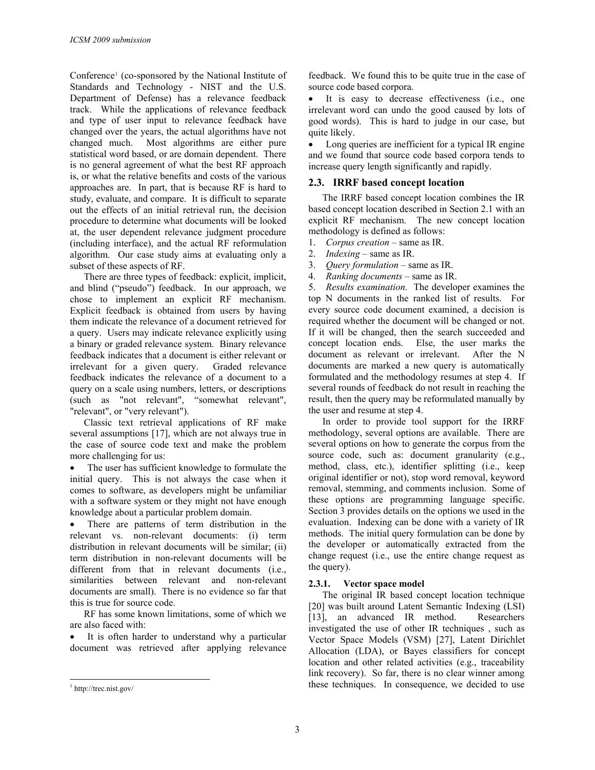Conference<sup>[1](#page-2-0)</sup> (co-sponsored by the National Institute of Standards and Technology - NIST and the U.S. Department of Defense) has a relevance feedback track. While the applications of relevance feedback and type of user input to relevance feedback have changed over the years, the actual algorithms have not changed much. Most algorithms are either pure statistical word based, or are domain dependent. There is no general agreement of what the best RF approach is, or what the relative benefits and costs of the various approaches are. In part, that is because RF is hard to study, evaluate, and compare. It is difficult to separate out the effects of an initial retrieval run, the decision procedure to determine what documents will be looked at, the user dependent relevance judgment procedure (including interface), and the actual RF reformulation algorithm. Our case study aims at evaluating only a subset of these aspects of RF.

There are three types of feedback: explicit, implicit, and blind ("pseudo") feedback. In our approach, we chose to implement an explicit RF mechanism. Explicit feedback is obtained from users by having them indicate the relevance of a document retrieved for a query. Users may indicate relevance explicitly using a binary or graded relevance system. Binary relevance feedback indicates that a document is either relevant or irrelevant for a given query. Graded relevance feedback indicates the relevance of a document to a query on a scale using numbers, letters, or descriptions (such as "not relevant", "somewhat relevant", "relevant", or "very relevant").

Classic text retrieval applications of RF make several assumptions [17], which are not always true in the case of source code text and make the problem more challenging for us:

- The user has sufficient knowledge to formulate the initial query. This is not always the case when it comes to software, as developers might be unfamiliar with a software system or they might not have enough knowledge about a particular problem domain.
- ! There are patterns of term distribution in the relevant vs. non-relevant documents: (i) term distribution in relevant documents will be similar; (ii) term distribution in non-relevant documents will be different from that in relevant documents (i.e., similarities between relevant and non-relevant documents are small). There is no evidence so far that this is true for source code.

RF has some known limitations, some of which we are also faced with:

• It is often harder to understand why a particular document was retrieved after applying relevance

feedback. We found this to be quite true in the case of source code based corpora.

• It is easy to decrease effectiveness (i.e., one irrelevant word can undo the good caused by lots of good words). This is hard to judge in our case, but quite likely.

• Long queries are inefficient for a typical IR engine and we found that source code based corpora tends to increase query length significantly and rapidly.

### **2.3. IRRF based concept location**

The IRRF based concept location combines the IR based concept location described in Section [2.1](#page-1-0) with an explicit RF mechanism. The new concept location methodology is defined as follows:

- 1. *Corpus creation* same as IR.
- 2. *Indexing same as IR.*

3. *Query formulation* – same as IR.

4. *Ranking documents* – same as IR.

5. *Results examination*. The developer examines the top N documents in the ranked list of results. For every source code document examined, a decision is required whether the document will be changed or not. If it will be changed, then the search succeeded and concept location ends. Else, the user marks the document as relevant or irrelevant. After the N documents are marked a new query is automatically formulated and the methodology resumes at step 4. If several rounds of feedback do not result in reaching the result, then the query may be reformulated manually by the user and resume at step 4.

In order to provide tool support for the IRRF methodology, several options are available. There are several options on how to generate the corpus from the source code, such as: document granularity (e.g., method, class, etc.), identifier splitting (i.e., keep original identifier or not), stop word removal, keyword removal, stemming, and comments inclusion. Some of these options are programming language specific. Section [3](#page-3-0) provides details on the options we used in the evaluation. Indexing can be done with a variety of IR methods. The initial query formulation can be done by the developer or automatically extracted from the change request (i.e., use the entire change request as the query).

### **2.3.1. Vector space model**

The original IR based concept location technique [20] was built around Latent Semantic Indexing (LSI) [13], an advanced IR method. Researchers investigated the use of other IR techniques , such as Vector Space Models (VSM) [27], Latent Dirichlet Allocation (LDA), or Bayes classifiers for concept location and other related activities (e.g., traceability link recovery). So far, there is no clear winner among these techniques. In consequence, we decided to use

<span id="page-2-0"></span> $\overline{a}$ 1 http://trec.nist.gov/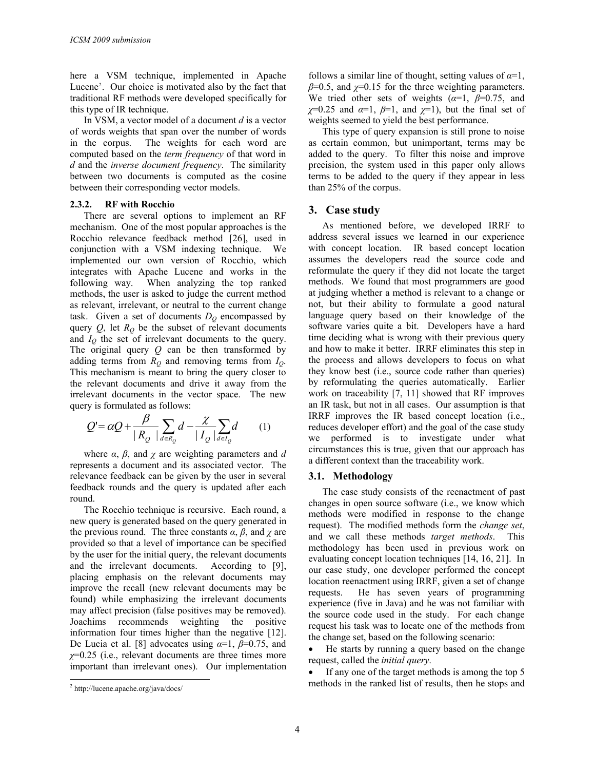here a VSM technique, implemented in Apache Lucene<sup>[2](#page-3-1)</sup>. Our choice is motivated also by the fact that traditional RF methods were developed specifically for this type of IR technique.

In VSM, a vector model of a document *d* is a vector of words weights that span over the number of words in the corpus. The weights for each word are computed based on the *term frequency* of that word in *d* and the *inverse document frequency*. The similarity between two documents is computed as the cosine between their corresponding vector models.

#### <span id="page-3-0"></span>**2.3.2. RF with Rocchio**

There are several options to implement an RF mechanism. One of the most popular approaches is the Rocchio relevance feedback method [26], used in conjunction with a VSM indexing technique. We implemented our own version of Rocchio, which integrates with Apache Lucene and works in the following way. When analyzing the top ranked methods, the user is asked to judge the current method as relevant, irrelevant, or neutral to the current change task. Given a set of documents  $D<sub>O</sub>$  encompassed by query  $Q$ , let  $R<sub>O</sub>$  be the subset of relevant documents and *IQ* the set of irrelevant documents to the query. The original query *Q* can be then transformed by adding terms from  $R<sub>O</sub>$  and removing terms from  $I<sub>O</sub>$ . This mechanism is meant to bring the query closer to the relevant documents and drive it away from the irrelevant documents in the vector space. The new query is formulated as follows:

$$
Q' = \alpha Q + \frac{\beta}{|R_Q|} \sum_{d \in R_Q} d - \frac{\chi}{|I_Q|} \sum_{d \in I_Q} d \qquad (1)
$$

<span id="page-3-2"></span>where  $\alpha$ ,  $\beta$ , and  $\gamma$  are weighting parameters and *d* represents a document and its associated vector. The relevance feedback can be given by the user in several feedback rounds and the query is updated after each round.

The Rocchio technique is recursive. Each round, a new query is generated based on the query generated in the previous round. The three constants  $\alpha$ ,  $\beta$ , and  $\gamma$  are provided so that a level of importance can be specified by the user for the initial query, the relevant documents and the irrelevant documents. According to [9], placing emphasis on the relevant documents may improve the recall (new relevant documents may be found) while emphasizing the irrelevant documents may affect precision (false positives may be removed). Joachims recommends weighting the positive information four times higher than the negative [12]. De Lucia et al. [8] advocates using  $\alpha=1$ ,  $\beta=0.75$ , and  $\chi$ =0.25 (i.e., relevant documents are three times more important than irrelevant ones). Our implementation

follows a similar line of thought, setting values of  $\alpha=1$ ,  $\beta$ =0.5, and  $\gamma$ =0.15 for the three weighting parameters. We tried other sets of weights  $(\alpha=1, \beta=0.75, \text{ and})$  $\chi$ =0.25 and  $\alpha$ =1,  $\beta$ =1, and  $\chi$ =1), but the final set of weights seemed to yield the best performance.

This type of query expansion is still prone to noise as certain common, but unimportant, terms may be added to the query. To filter this noise and improve precision, the system used in this paper only allows terms to be added to the query if they appear in less than 25% of the corpus.

## **3. Case study**

As mentioned before, we developed IRRF to address several issues we learned in our experience with concept location. IR based concept location assumes the developers read the source code and reformulate the query if they did not locate the target methods. We found that most programmers are good at judging whether a method is relevant to a change or not, but their ability to formulate a good natural language query based on their knowledge of the software varies quite a bit. Developers have a hard time deciding what is wrong with their previous query and how to make it better. IRRF eliminates this step in the process and allows developers to focus on what they know best (i.e., source code rather than queries) by reformulating the queries automatically. Earlier work on traceability [7, 11] showed that RF improves an IR task, but not in all cases. Our assumption is that IRRF improves the IR based concept location (i.e., reduces developer effort) and the goal of the case study we performed is to investigate under what circumstances this is true, given that our approach has a different context than the traceability work.

### **3.1. Methodology**

The case study consists of the reenactment of past changes in open source software (i.e., we know which methods were modified in response to the change request). The modified methods form the *change set*, and we call these methods *target methods*. This methodology has been used in previous work on evaluating concept location techniques [14, 16, 21]. In our case study, one developer performed the concept location reenactment using IRRF, given a set of change requests. He has seven years of programming experience (five in Java) and he was not familiar with the source code used in the study. For each change request his task was to locate one of the methods from the change set, based on the following scenario:

! He starts by running a query based on the change request, called the *initial query*.

If any one of the target methods is among the top 5 methods in the ranked list of results, then he stops and

<span id="page-3-1"></span> $\overline{a}$ <sup>2</sup> http://lucene.apache.org/java/docs/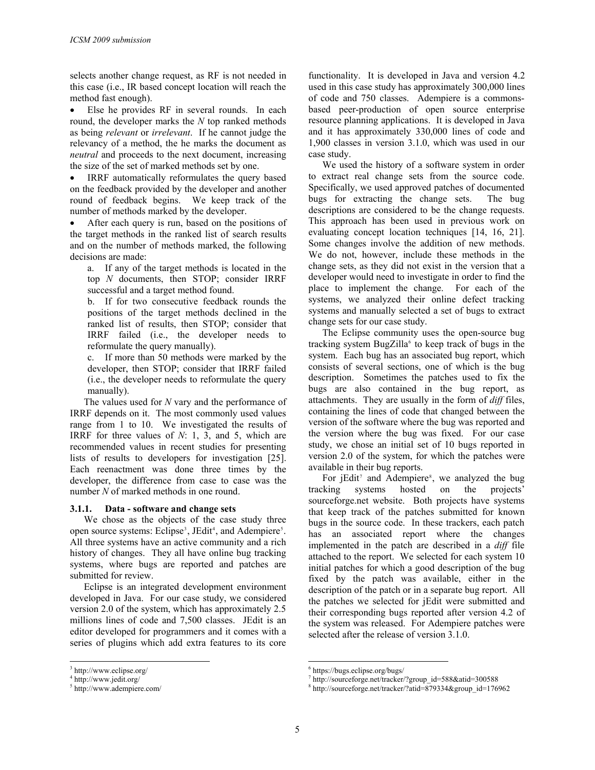selects another change request, as RF is not needed in this case (i.e., IR based concept location will reach the method fast enough).

• Else he provides RF in several rounds. In each round, the developer marks the *N* top ranked methods as being *relevant* or *irrelevant*. If he cannot judge the relevancy of a method, the he marks the document as *neutral* and proceeds to the next document, increasing the size of the set of marked methods set by one.

• IRRF automatically reformulates the query based on the feedback provided by the developer and another round of feedback begins. We keep track of the number of methods marked by the developer.

! After each query is run, based on the positions of the target methods in the ranked list of search results and on the number of methods marked, the following decisions are made:

a. If any of the target methods is located in the top *N* documents, then STOP; consider IRRF successful and a target method found.

b. If for two consecutive feedback rounds the positions of the target methods declined in the ranked list of results, then STOP; consider that IRRF failed (i.e., the developer needs to reformulate the query manually).

c. If more than 50 methods were marked by the developer, then STOP; consider that IRRF failed (i.e., the developer needs to reformulate the query manually).

The values used for *N* vary and the performance of IRRF depends on it. The most commonly used values range from 1 to 10. We investigated the results of IRRF for three values of *N*: 1, 3, and 5, which are recommended values in recent studies for presenting lists of results to developers for investigation [25]. Each reenactment was done three times by the developer, the difference from case to case was the number *N* of marked methods in one round.

#### <span id="page-4-3"></span>**3.1.1. Data - software and change sets**

We chose as the objects of the case study three open source systems: Eclipse<sup>[3](#page-4-1)</sup>, JEdit<sup>[4](#page-4-2)</sup>, and Adempiere<sup>[5](#page-4-0)</sup>. All three systems have an active community and a rich history of changes. They all have online bug tracking systems, where bugs are reported and patches are submitted for review.

Eclipse is an integrated development environment developed in Java. For our case study, we considered version 2.0 of the system, which has approximately 2.5 millions lines of code and 7,500 classes. JEdit is an editor developed for programmers and it comes with a series of plugins which add extra features to its core

functionality. It is developed in Java and version 4.2 used in this case study has approximately 300,000 lines of code and 750 classes. Adempiere is a commonsbased peer-production of open source enterprise resource planning applications. It is developed in Java and it has approximately 330,000 lines of code and 1,900 classes in version 3.1.0, which was used in our case study.

We used the history of a software system in order to extract real change sets from the source code. Specifically, we used approved patches of documented bugs for extracting the change sets. The bug descriptions are considered to be the change requests. This approach has been used in previous work on evaluating concept location techniques [14, 16, 21]. Some changes involve the addition of new methods. We do not, however, include these methods in the change sets, as they did not exist in the version that a developer would need to investigate in order to find the place to implement the change. For each of the systems, we analyzed their online defect tracking systems and manually selected a set of bugs to extract change sets for our case study.

The Eclipse community uses the open-source bug tracking system BugZilla<sup>[6](#page-4-1)</sup> to keep track of bugs in the system. Each bug has an associated bug report, which consists of several sections, one of which is the bug description. Sometimes the patches used to fix the bugs are also contained in the bug report, as attachments. They are usually in the form of *diff* files, containing the lines of code that changed between the version of the software where the bug was reported and the version where the bug was fixed. For our case study, we chose an initial set of 10 bugs reported in version 2.0 of the system, for which the patches were available in their bug reports.

For jEdit<sup>[7](#page-4-2)</sup> and Adempiere<sup>[8](#page-4-0)</sup>, we analyzed the bug tracking systems hosted on the projects' sourceforge.net website. Both projects have systems that keep track of the patches submitted for known bugs in the source code. In these trackers, each patch has an associated report where the changes implemented in the patch are described in a *diff* file attached to the report. We selected for each system 10 initial patches for which a good description of the bug fixed by the patch was available, either in the description of the patch or in a separate bug report. All the patches we selected for jEdit were submitted and their corresponding bugs reported after version 4.2 of the system was released. For Adempiere patches were selected after the release of version 3.1.0.

<span id="page-4-1"></span> $\frac{1}{3}$ http://www.eclipse.org/

<span id="page-4-2"></span><sup>4</sup> http://www.jedit.org/

<span id="page-4-0"></span><sup>5</sup> http://www.adempiere.com/

<sup>6</sup> https://bugs.eclipse.org/bugs/

 $T$  http://sourceforge.net/tracker/?group\_id=588&atid=300588<br>8 http://sourceforce.net/tracker/2stid=970224.8 crown.id=1766

 $h$  http://sourceforge.net/tracker/?atid=879334&group\_id=176962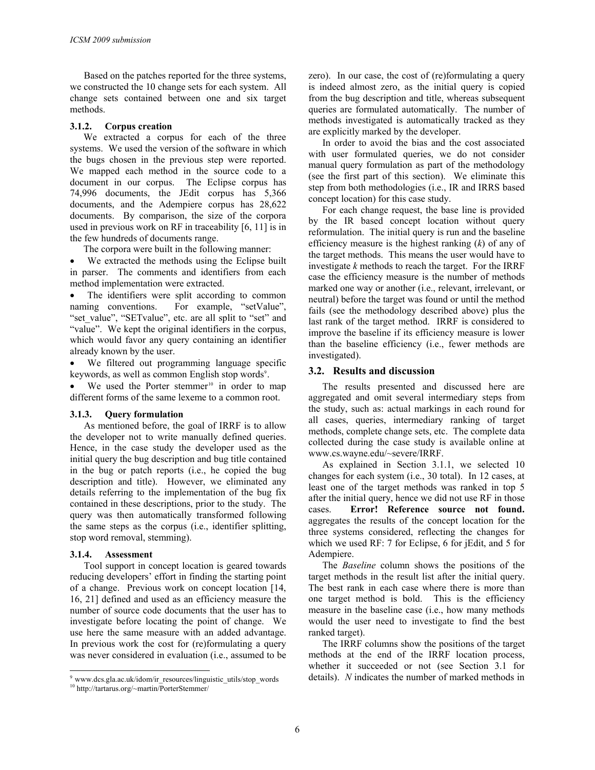Based on the patches reported for the three systems, we constructed the 10 change sets for each system. All change sets contained between one and six target methods.

#### **3.1.2. Corpus creation**

We extracted a corpus for each of the three systems. We used the version of the software in which the bugs chosen in the previous step were reported. We mapped each method in the source code to a document in our corpus. The Eclipse corpus has 74,996 documents, the JEdit corpus has 5,366 documents, and the Adempiere corpus has 28,622 documents. By comparison, the size of the corpora used in previous work on RF in traceability [6, 11] is in the few hundreds of documents range.

The corpora were built in the following manner:

We extracted the methods using the Eclipse built in parser. The comments and identifiers from each method implementation were extracted.

The identifiers were split according to common naming conventions. For example, "setValue", "set\_value", "SETvalue", etc. are all split to "set" and "value". We kept the original identifiers in the corpus, which would favor any query containing an identifier already known by the user.

We filtered out programming language specific keywords, as well as common English stop words<sup>[9](#page-5-0)</sup>.

We used the Porter stemmer<sup>10</sup> in order to map different forms of the same lexeme to a common root.

### **3.1.3. Query formulation**

As mentioned before, the goal of IRRF is to allow the developer not to write manually defined queries. Hence, in the case study the developer used as the initial query the bug description and bug title contained in the bug or patch reports (i.e., he copied the bug description and title). However, we eliminated any details referring to the implementation of the bug fix contained in these descriptions, prior to the study. The query was then automatically transformed following the same steps as the corpus (i.e., identifier splitting, stop word removal, stemming).

#### **3.1.4. Assessment**

1

Tool support in concept location is geared towards reducing developers' effort in finding the starting point of a change. Previous work on concept location [14, 16, 21] defined and used as an efficiency measure the number of source code documents that the user has to investigate before locating the point of change. We use here the same measure with an added advantage. In previous work the cost for (re)formulating a query was never considered in evaluation (i.e., assumed to be zero). In our case, the cost of (re)formulating a query is indeed almost zero, as the initial query is copied from the bug description and title, whereas subsequent queries are formulated automatically. The number of methods investigated is automatically tracked as they are explicitly marked by the developer.

In order to avoid the bias and the cost associated with user formulated queries, we do not consider manual query formulation as part of the methodology (see the first part of this section). We eliminate this step from both methodologies (i.e., IR and IRRS based concept location) for this case study.

For each change request, the base line is provided by the IR based concept location without query reformulation. The initial query is run and the baseline efficiency measure is the highest ranking (*k*) of any of the target methods. This means the user would have to investigate *k* methods to reach the target. For the IRRF case the efficiency measure is the number of methods marked one way or another (i.e., relevant, irrelevant, or neutral) before the target was found or until the method fails (see the methodology described above) plus the last rank of the target method. IRRF is considered to improve the baseline if its efficiency measure is lower than the baseline efficiency (i.e., fewer methods are investigated).

### **3.2. Results and discussion**

The results presented and discussed here are aggregated and omit several intermediary steps from the study, such as: actual markings in each round for all cases, queries, intermediary ranking of target methods, complete change sets, etc. The complete data collected during the case study is available online at www.cs.wayne.edu/~severe/IRRF.

As explained in Section [3.1.1,](#page-4-3) we selected 10 changes for each system (i.e., 30 total). In 12 cases, at least one of the target methods was ranked in top 5 after the initial query, hence we did not use RF in those cases. **Error! Reference source not found.** aggregates the results of the concept location for the three systems considered, reflecting the changes for which we used RF: 7 for Eclipse, 6 for jEdit, and 5 for Adempiere.

The *Baseline* column shows the positions of the target methods in the result list after the initial query. The best rank in each case where there is more than one target method is bold. This is the efficiency measure in the baseline case (i.e., how many methods would the user need to investigate to find the best ranked target).

The IRRF columns show the positions of the target methods at the end of the IRRF location process, whether it succeeded or not (see Section [3.1](#page-3-2) for details). *N* indicates the number of marked methods in

<span id="page-5-0"></span><sup>9</sup> www.dcs.gla.ac.uk/idom/ir\_resources/linguistic\_utils/stop\_words

<span id="page-5-1"></span><sup>10</sup> http://tartarus.org/~martin/PorterStemmer/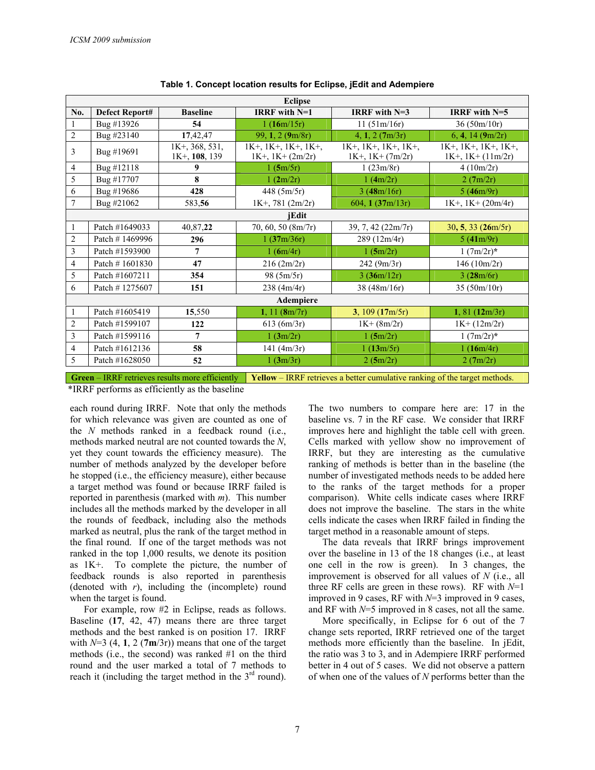| <b>Eclipse</b> |                    |                                       |                                                                      |                                                            |                                                                           |  |  |  |  |  |
|----------------|--------------------|---------------------------------------|----------------------------------------------------------------------|------------------------------------------------------------|---------------------------------------------------------------------------|--|--|--|--|--|
| No.            | Defect Report#     | <b>Baseline</b>                       | IRRF with $N=1$                                                      | <b>IRRF</b> with $N=3$                                     | <b>IRRF</b> with $N=5$                                                    |  |  |  |  |  |
| 1              | Bug #13926         | 54                                    | 1(16m/15r)                                                           | 11(51m/16r)                                                | 36 (50m/10r)                                                              |  |  |  |  |  |
| $\overline{2}$ | Bug #23140         | 17,42,47                              | 99, 1, 2 (9m/8r)                                                     | 4, 1, 2 (7m/3r)                                            | 6, 4, 14 (9m/2r)                                                          |  |  |  |  |  |
| 3              | Bug #19691         | $1K+$ , 368, 531,<br>$1K+$ , 108, 139 | $1K^+$ , $1K^+$ , $1K^+$ , $1K^+$ ,<br>$1K^{+}$ , $1K^{+}$ $(2m/2r)$ | $1K+$ , $1K+$ , $1K+$ , $1K+$ ,<br>$1K^+$ , $1K^+$ (7m/2r) | $1K^{+}$ , $1K^{+}$ , $1K^{+}$ , $1K^{+}$ ,<br>$1K^+$ , $1K^+$ $(11m/2r)$ |  |  |  |  |  |
| 4              | Bug #12118         | 9                                     | 1 (5m/5r)                                                            | 1(23m/8r)                                                  | 4(10m/2r)                                                                 |  |  |  |  |  |
| 5              | Bug #17707         | 8                                     | 1(2m/2r)                                                             | 1(4m/2r)                                                   | 2(7m/2r)                                                                  |  |  |  |  |  |
| 6              | Bug #19686         | 428                                   | 448 (5m/5r)                                                          | 3(48m/16r)                                                 | 5(46m/9r)                                                                 |  |  |  |  |  |
| 7              | Bug #21062         | 583,56                                | $1K^{+}$ , 781 (2m/2r)                                               | 604, 1(37m/13r)                                            | $1K^+$ , $1K^+$ (20m/4r)                                                  |  |  |  |  |  |
| jEdit          |                    |                                       |                                                                      |                                                            |                                                                           |  |  |  |  |  |
| 1              | Patch #1649033     | 40,87,22                              | 70, 60, 50 (8m/7r)                                                   | 39, 7, 42 (22m/7r)                                         | $30, 5, 33$ (26m/5r)                                                      |  |  |  |  |  |
| $\overline{c}$ | Patch #1469996     | 296                                   | 1(37m/36r)                                                           | 289(12m/4r)                                                | 5(41m/9r)                                                                 |  |  |  |  |  |
| 3              | Patch #1593900     | 7                                     | 1(6m/4r)                                                             | 1 (5m/2r)                                                  | $1 (7m/2r)^*$                                                             |  |  |  |  |  |
| 4              | Patch $\# 1601830$ | 47                                    | 216 (2m/2r)                                                          | 242 (9m/3r)                                                | 146(10m/2r)                                                               |  |  |  |  |  |
| 5              | Patch #1607211     | 354                                   | 98 (5m/5r)                                                           | 3(36m/12r)                                                 | 3(28m/6r)                                                                 |  |  |  |  |  |
| 6              | Patch #1275607     | 151                                   | 238 (4m/4r)                                                          | 38 (48m/16r)                                               | 35(50m/10r)                                                               |  |  |  |  |  |
| Adempiere      |                    |                                       |                                                                      |                                                            |                                                                           |  |  |  |  |  |
| 1              | Patch #1605419     | 15,550                                | 1, 11 $(8m/7r)$                                                      | 3, $109(17m/5r)$                                           | 1, 81 (12m/3r)                                                            |  |  |  |  |  |
| $\overline{c}$ | Patch #1599107     | 122                                   | 613 (6m/3r)                                                          | $1K + (8m/2r)$                                             | $1K + (12m/2r)$                                                           |  |  |  |  |  |
| 3              | Patch #1599116     | 7                                     | $1 \, (3m/2r)$                                                       | 1 (5m/2r)                                                  | $1 (7m/2r)^*$                                                             |  |  |  |  |  |
| 4              | Patch #1612136     | 58                                    | 141 (4m/3r)                                                          | 1(13m/5r)                                                  | 1(16m/4r)                                                                 |  |  |  |  |  |
| 5              | Patch #1628050     | 52                                    | 1(3m/3r)                                                             | 2(5m/2r)                                                   | 2(7m/2r)                                                                  |  |  |  |  |  |

|  |  |  | Table 1. Concept location results for Eclipse, jEdit and Adempiere |
|--|--|--|--------------------------------------------------------------------|
|  |  |  |                                                                    |

**Green** – IRRF retrieves results more efficiently **Yellow** – IRRF retrieves a better cumulative ranking of the target methods. \*IRRF performs as efficiently as the baseline

each round during IRRF. Note that only the methods for which relevance was given are counted as one of the *N* methods ranked in a feedback round (i.e., methods marked neutral are not counted towards the *N*, yet they count towards the efficiency measure). The number of methods analyzed by the developer before he stopped (i.e., the efficiency measure), either because a target method was found or because IRRF failed is reported in parenthesis (marked with *m*). This number includes all the methods marked by the developer in all the rounds of feedback, including also the methods marked as neutral, plus the rank of the target method in the final round. If one of the target methods was not ranked in the top 1,000 results, we denote its position as 1K+. To complete the picture, the number of feedback rounds is also reported in parenthesis (denoted with *r*), including the (incomplete) round when the target is found.

For example, row #2 in Eclipse, reads as follows. Baseline (**17**, 42, 47) means there are three target methods and the best ranked is on position 17. IRRF with  $N=3$  (4, 1, 2 ( $7m/3r$ )) means that one of the target methods (i.e., the second) was ranked #1 on the third round and the user marked a total of 7 methods to reach it (including the target method in the  $3<sup>rd</sup>$  round).

The two numbers to compare here are: 17 in the baseline vs. 7 in the RF case. We consider that IRRF improves here and highlight the table cell with green. Cells marked with yellow show no improvement of IRRF, but they are interesting as the cumulative ranking of methods is better than in the baseline (the number of investigated methods needs to be added here to the ranks of the target methods for a proper comparison). White cells indicate cases where IRRF does not improve the baseline. The stars in the white cells indicate the cases when IRRF failed in finding the target method in a reasonable amount of steps.

The data reveals that IRRF brings improvement over the baseline in 13 of the 18 changes (i.e., at least one cell in the row is green). In 3 changes, the improvement is observed for all values of *N* (i.e., all three RF cells are green in these rows). RF with *N*=1 improved in 9 cases, RF with *N*=3 improved in 9 cases, and RF with *N*=5 improved in 8 cases, not all the same.

More specifically, in Eclipse for 6 out of the 7 change sets reported, IRRF retrieved one of the target methods more efficiently than the baseline. In jEdit, the ratio was 3 to 3, and in Adempiere IRRF performed better in 4 out of 5 cases. We did not observe a pattern of when one of the values of *N* performs better than the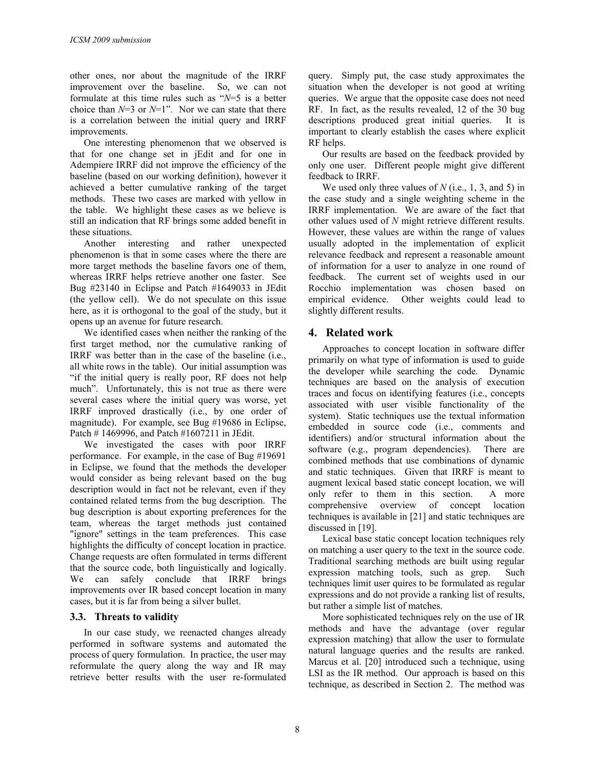other ones, nor about the magnitude of the IRRF improvement over the baseline. So, we can not formulate at this time rules such as "*N*=5 is a better choice than  $N=3$  or  $N=1$ ". Nor we can state that there is a correlation between the initial query and IRRF improvements.

One interesting phenomenon that we observed is that for one change set in jEdit and for one in Adempiere IRRF did not improve the efficiency of the baseline (based on our working definition), however it achieved a better cumulative ranking of the target methods. These two cases are marked with yellow in the table. We highlight these cases as we believe is still an indication that RF brings some added benefit in these situations.

Another interesting and rather unexpected phenomenon is that in some cases where the there are more target methods the baseline favors one of them, whereas IRRF helps retrieve another one faster. See Bug #23140 in Eclipse and Patch #1649033 in JEdit (the yellow cell). We do not speculate on this issue here, as it is orthogonal to the goal of the study, but it opens up an avenue for future research.

We identified cases when neither the ranking of the first target method, nor the cumulative ranking of IRRF was better than in the case of the baseline (i.e., all white rows in the table). Our initial assumption was "if the initial query is really poor, RF does not help much". Unfortunately, this is not true as there were several cases where the initial query was worse, yet IRRF improved drastically (i.e., by one order of magnitude). For example, see Bug #19686 in Eclipse, Patch # 1469996, and Patch #1607211 in JEdit.

We investigated the cases with poor IRRF performance. For example, in the case of Bug #19691 in Eclipse, we found that the methods the developer would consider as being relevant based on the bug description would in fact not be relevant, even if they contained related terms from the bug description. The bug description is about exporting preferences for the team, whereas the target methods just contained "ignore" settings in the team preferences. This case highlights the difficulty of concept location in practice. Change requests are often formulated in terms different that the source code, both linguistically and logically. We can safely conclude that IRRF brings improvements over IR based concept location in many cases, but it is far from being a silver bullet.

### **3.3. Threats to validity**

In our case study, we reenacted changes already performed in software systems and automated the process of query formulation. In practice, the user may reformulate the query along the way and IR may retrieve better results with the user re-formulated query. Simply put, the case study approximates the situation when the developer is not good at writing queries. We argue that the opposite case does not need RF. In fact, as the results revealed, 12 of the 30 bug descriptions produced great initial queries. It is important to clearly establish the cases where explicit RF helps.

Our results are based on the feedback provided by only one user. Different people might give different feedback to IRRF.

We used only three values of *N* (i.e., 1, 3, and 5) in the case study and a single weighting scheme in the IRRF implementation. We are aware of the fact that other values used of *N* might retrieve different results. However, these values are within the range of values usually adopted in the implementation of explicit relevance feedback and represent a reasonable amount of information for a user to analyze in one round of feedback. The current set of weights used in our Rocchio implementation was chosen based on empirical evidence. Other weights could lead to slightly different results.

## **4. Related work**

Approaches to concept location in software differ primarily on what type of information is used to guide the developer while searching the code. Dynamic techniques are based on the analysis of execution traces and focus on identifying features (i.e., concepts associated with user visible functionality of the system). Static techniques use the textual information embedded in source code (i.e., comments and identifiers) and/or structural information about the software (e.g., program dependencies). There are combined methods that use combinations of dynamic and static techniques. Given that IRRF is meant to augment lexical based static concept location, we will only refer to them in this section. A more comprehensive overview of concept location techniques is available in [21] and static techniques are discussed in [19].

Lexical base static concept location techniques rely on matching a user query to the text in the source code. Traditional searching methods are built using regular expression matching tools, such as grep. Such techniques limit user quires to be formulated as regular expressions and do not provide a ranking list of results, but rather a simple list of matches.

More sophisticated techniques rely on the use of IR methods and have the advantage (over regular expression matching) that allow the user to formulate natural language queries and the results are ranked. Marcus et al. [20] introduced such a technique, using LSI as the IR method. Our approach is based on this technique, as described in Section [2.](#page-1-1) The method was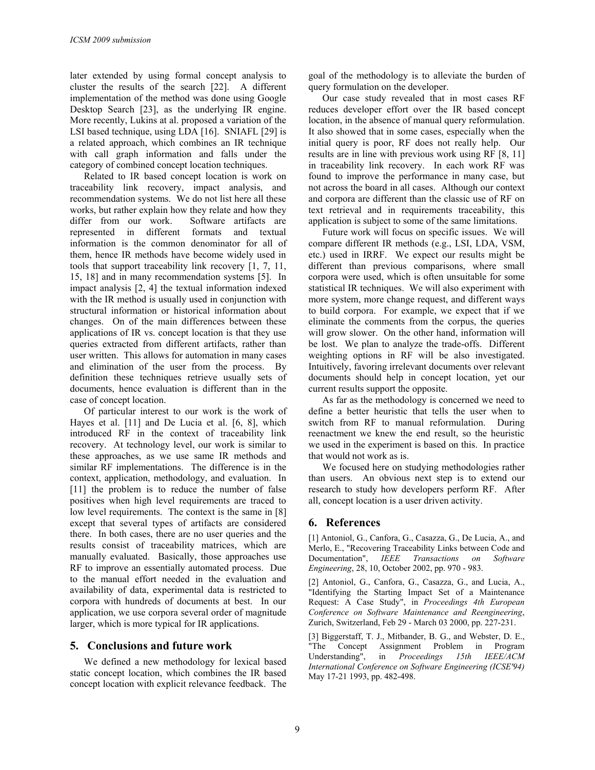later extended by using formal concept analysis to cluster the results of the search [22]. A different implementation of the method was done using Google Desktop Search [23], as the underlying IR engine. More recently, Lukins at al. proposed a variation of the LSI based technique, using LDA [16]. SNIAFL [29] is a related approach, which combines an IR technique with call graph information and falls under the category of combined concept location techniques.

Related to IR based concept location is work on traceability link recovery, impact analysis, and recommendation systems. We do not list here all these works, but rather explain how they relate and how they differ from our work. Software artifacts are represented in different formats and textual information is the common denominator for all of them, hence IR methods have become widely used in tools that support traceability link recovery [1, 7, 11, 15, 18] and in many recommendation systems [5]. In impact analysis [2, 4] the textual information indexed with the IR method is usually used in conjunction with structural information or historical information about changes. On of the main differences between these applications of IR vs. concept location is that they use queries extracted from different artifacts, rather than user written. This allows for automation in many cases and elimination of the user from the process. By definition these techniques retrieve usually sets of documents, hence evaluation is different than in the case of concept location.

Of particular interest to our work is the work of Hayes et al. [11] and De Lucia et al. [6, 8], which introduced RF in the context of traceability link recovery. At technology level, our work is similar to these approaches, as we use same IR methods and similar RF implementations. The difference is in the context, application, methodology, and evaluation. In [11] the problem is to reduce the number of false positives when high level requirements are traced to low level requirements. The context is the same in [8] except that several types of artifacts are considered there. In both cases, there are no user queries and the results consist of traceability matrices, which are manually evaluated. Basically, those approaches use RF to improve an essentially automated process. Due to the manual effort needed in the evaluation and availability of data, experimental data is restricted to corpora with hundreds of documents at best. In our application, we use corpora several order of magnitude larger, which is more typical for IR applications.

### **5. Conclusions and future work**

We defined a new methodology for lexical based static concept location, which combines the IR based concept location with explicit relevance feedback. The goal of the methodology is to alleviate the burden of query formulation on the developer.

Our case study revealed that in most cases RF reduces developer effort over the IR based concept location, in the absence of manual query reformulation. It also showed that in some cases, especially when the initial query is poor, RF does not really help. Our results are in line with previous work using RF [8, 11] in traceability link recovery. In each work RF was found to improve the performance in many case, but not across the board in all cases. Although our context and corpora are different than the classic use of RF on text retrieval and in requirements traceability, this application is subject to some of the same limitations.

Future work will focus on specific issues. We will compare different IR methods (e.g., LSI, LDA, VSM, etc.) used in IRRF. We expect our results might be different than previous comparisons, where small corpora were used, which is often unsuitable for some statistical IR techniques. We will also experiment with more system, more change request, and different ways to build corpora. For example, we expect that if we eliminate the comments from the corpus, the queries will grow slower. On the other hand, information will be lost. We plan to analyze the trade-offs. Different weighting options in RF will be also investigated. Intuitively, favoring irrelevant documents over relevant documents should help in concept location, yet our current results support the opposite.

As far as the methodology is concerned we need to define a better heuristic that tells the user when to switch from RF to manual reformulation. During reenactment we knew the end result, so the heuristic we used in the experiment is based on this. In practice that would not work as is.

We focused here on studying methodologies rather than users. An obvious next step is to extend our research to study how developers perform RF. After all, concept location is a user driven activity.

## **6. References**

[1] Antoniol, G., Canfora, G., Casazza, G., De Lucia, A., and Merlo, E., "Recovering Traceability Links between Code and Documentation", *IEEE Transactions on Software Engineering*, 28, 10, October 2002, pp. 970 - 983.

[2] Antoniol, G., Canfora, G., Casazza, G., and Lucia, A., "Identifying the Starting Impact Set of a Maintenance Request: A Case Study", in *Proceedings 4th European Conference on Software Maintenance and Reengineering*, Zurich, Switzerland, Feb 29 - March 03 2000, pp. 227-231.

[3] Biggerstaff, T. J., Mitbander, B. G., and Webster, D. E., "The Concept Assignment Problem in Program Understanding", in *Proceedings 15th IEEE/ACM International Conference on Software Engineering (ICSE'94)*  May 17-21 1993, pp. 482-498.